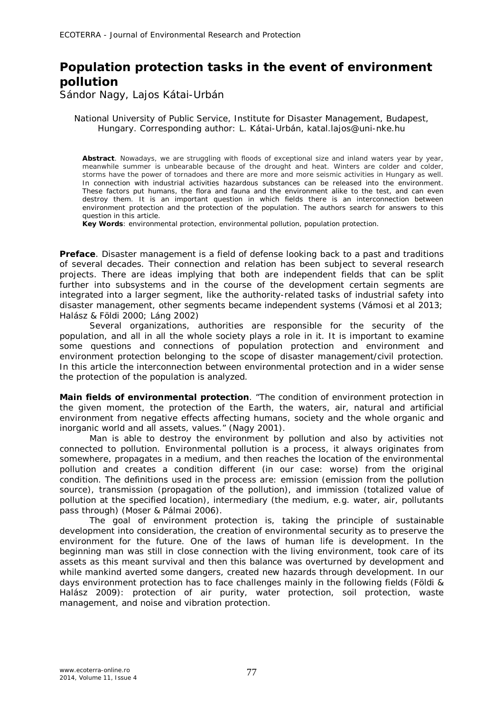## **Population protection tasks in the event of environment pollution**

Sándor Nagy, Lajos Kátai-Urbán

National University of Public Service, Institute for Disaster Management, Budapest, Hungary. Corresponding author: L. Kátai-Urbán, katal.lajos@uni-nke.hu

Abstract. Nowadays, we are struggling with floods of exceptional size and inland waters year by year, meanwhile summer is unbearable because of the drought and heat. Winters are colder and colder, storms have the power of tornadoes and there are more and more seismic activities in Hungary as well. In connection with industrial activities hazardous substances can be released into the environment. These factors put humans, the flora and fauna and the environment alike to the test, and can even destroy them. It is an important question in which fields there is an interconnection between environment protection and the protection of the population. The authors search for answers to this question in this article.

**Key Words**: environmental protection, environmental pollution, population protection.

**Preface**. Disaster management is a field of defense looking back to a past and traditions of several decades. Their connection and relation has been subject to several research projects. There are ideas implying that both are independent fields that can be split further into subsystems and in the course of the development certain segments are integrated into a larger segment, like the authority-related tasks of industrial safety into disaster management, other segments became independent systems (Vámosi et al 2013; Halász & Földi 2000; Láng 2002)

Several organizations, authorities are responsible for the security of the population, and all in all the whole society plays a role in it. It is important to examine some questions and connections of population protection and environment and environment protection belonging to the scope of disaster management/civil protection. In this article the interconnection between environmental protection and in a wider sense the protection of the population is analyzed.

**Main fields of environmental protection**. "The condition of environment protection in the given moment, the protection of the Earth, the waters, air, natural and artificial environment from negative effects affecting humans, society and the whole organic and inorganic world and all assets, values." (Nagy 2001).

Man is able to destroy the environment by pollution and also by activities not connected to pollution. Environmental pollution is a process, it always originates from somewhere, propagates in a medium, and then reaches the location of the environmental pollution and creates a condition different (in our case: worse) from the original condition. The definitions used in the process are: emission (emission from the pollution source), transmission (propagation of the pollution), and immission (totalized value of pollution at the specified location), intermediary (the medium, e.g. water, air, pollutants pass through) (Moser & Pálmai 2006).

The goal of environment protection is, taking the principle of sustainable development into consideration, the creation of environmental security as to preserve the environment for the future. One of the laws of human life is development. In the beginning man was still in close connection with the living environment, took care of its assets as this meant survival and then this balance was overturned by development and while mankind averted some dangers, created new hazards through development. In our days environment protection has to face challenges mainly in the following fields (Földi & Halász 2009): protection of air purity, water protection, soil protection, waste management, and noise and vibration protection.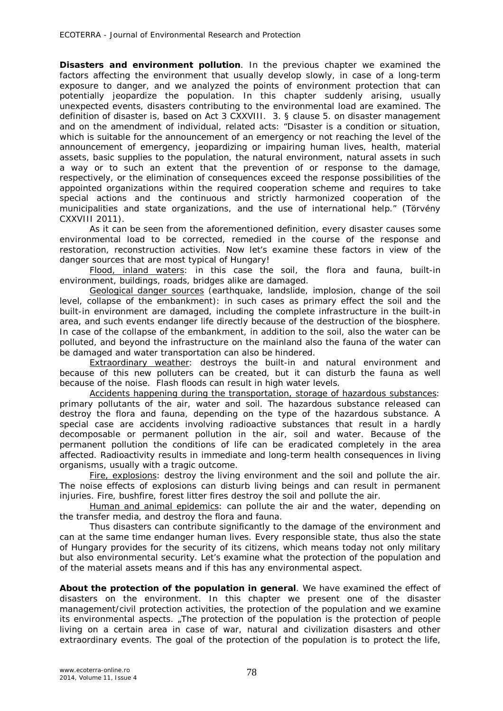**Disasters and environment pollution**. In the previous chapter we examined the factors affecting the environment that usually develop slowly, in case of a long-term exposure to danger, and we analyzed the points of environment protection that can potentially jeopardize the population. In this chapter suddenly arising, usually unexpected events, disasters contributing to the environmental load are examined. The definition of disaster is, based on Act 3 CXXVIII. 3. § clause 5. on disaster management and on the amendment of individual, related acts: "Disaster is a condition or situation, which is suitable for the announcement of an emergency or not reaching the level of the announcement of emergency, jeopardizing or impairing human lives, health, material assets, basic supplies to the population, the natural environment, natural assets in such a way or to such an extent that the prevention of or response to the damage, respectively, or the elimination of consequences exceed the response possibilities of the appointed organizations within the required cooperation scheme and requires to take special actions and the continuous and strictly harmonized cooperation of the municipalities and state organizations, and the use of international help." (Törvény CXXVIII 2011).

As it can be seen from the aforementioned definition, every disaster causes some environmental load to be corrected, remedied in the course of the response and restoration, reconstruction activities. Now let's examine these factors in view of the danger sources that are most typical of Hungary!

*Flood, inland waters*: in this case the soil, the flora and fauna, built-in environment, buildings, roads, bridges alike are damaged.

*Geological danger sources (earthquake, landslide, implosion, change of the soil level, collapse of the embankment)*: in such cases as primary effect the soil and the built-in environment are damaged, including the complete infrastructure in the built-in area, and such events endanger life directly because of the destruction of the biosphere. In case of the collapse of the embankment, in addition to the soil, also the water can be polluted, and beyond the infrastructure on the mainland also the fauna of the water can be damaged and water transportation can also be hindered.

*Extraordinary weather*: destroys the built-in and natural environment and because of this new polluters can be created, but it can disturb the fauna as well because of the noise. Flash floods can result in high water levels.

*Accidents happening during the transportation, storage of hazardous substances*: primary pollutants of the air, water and soil. The hazardous substance released can destroy the flora and fauna, depending on the type of the hazardous substance. A special case are accidents involving radioactive substances that result in a hardly decomposable or permanent pollution in the air, soil and water. Because of the permanent pollution the conditions of life can be eradicated completely in the area affected. Radioactivity results in immediate and long-term health consequences in living organisms, usually with a tragic outcome.

*Fire, explosions*: destroy the living environment and the soil and pollute the air. The noise effects of explosions can disturb living beings and can result in permanent injuries. Fire, bushfire, forest litter fires destroy the soil and pollute the air.

*Human and animal epidemics*: can pollute the air and the water, depending on the transfer media, and destroy the flora and fauna.

Thus disasters can contribute significantly to the damage of the environment and can at the same time endanger human lives. Every responsible state, thus also the state of Hungary provides for the security of its citizens, which means today not only military but also environmental security. Let's examine what the protection of the population and of the material assets means and if this has any environmental aspect.

**About the protection of the population in general**. We have examined the effect of disasters on the environment. In this chapter we present one of the disaster management/civil protection activities, the protection of the population and we examine its environmental aspects. "The protection of the population is the protection of people living on a certain area in case of war, natural and civilization disasters and other extraordinary events. The goal of the protection of the population is to protect the life,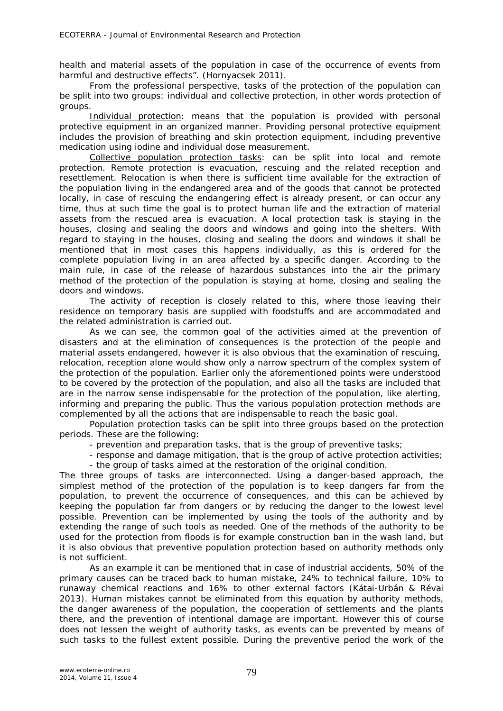health and material assets of the population in case of the occurrence of events from harmful and destructive effects". (Hornyacsek 2011).

From the professional perspective, tasks of the protection of the population can be split into two groups: individual and collective protection, in other words protection of groups.

*Individual protection*: means that the population is provided with personal protective equipment in an organized manner. Providing personal protective equipment includes the provision of breathing and skin protection equipment, including preventive medication using iodine and individual dose measurement.

*Collective population protection tasks*: can be split into local and remote protection. Remote protection is evacuation, rescuing and the related reception and resettlement. Relocation is when there is sufficient time available for the extraction of the population living in the endangered area and of the goods that cannot be protected locally, in case of rescuing the endangering effect is already present, or can occur any time, thus at such time the goal is to protect human life and the extraction of material assets from the rescued area is evacuation. A local protection task is staying in the houses, closing and sealing the doors and windows and going into the shelters. With regard to staying in the houses, closing and sealing the doors and windows it shall be mentioned that in most cases this happens individually, as this is ordered for the complete population living in an area affected by a specific danger. According to the main rule, in case of the release of hazardous substances into the air the primary method of the protection of the population is staying at home, closing and sealing the doors and windows.

The activity of reception is closely related to this, where those leaving their residence on temporary basis are supplied with foodstuffs and are accommodated and the related administration is carried out.

As we can see, the common goal of the activities aimed at the prevention of disasters and at the elimination of consequences is the protection of the people and material assets endangered, however it is also obvious that the examination of rescuing, relocation, reception alone would show only a narrow spectrum of the complex system of the protection of the population. Earlier only the aforementioned points were understood to be covered by the protection of the population, and also all the tasks are included that are in the narrow sense indispensable for the protection of the population, like alerting, informing and preparing the public. Thus the various population protection methods are complemented by all the actions that are indispensable to reach the basic goal.

Population protection tasks can be split into three groups based on the protection periods. These are the following:

- prevention and preparation tasks, that is the group of preventive tasks;

- response and damage mitigation, that is the group of active protection activities;

- the group of tasks aimed at the restoration of the original condition.

The three groups of tasks are interconnected. Using a danger-based approach, the simplest method of the protection of the population is to keep dangers far from the population, to prevent the occurrence of consequences, and this can be achieved by keeping the population far from dangers or by reducing the danger to the lowest level possible. Prevention can be implemented by using the tools of the authority and by extending the range of such tools as needed. One of the methods of the authority to be used for the protection from floods is for example construction ban in the wash land, but it is also obvious that preventive population protection based on authority methods only is not sufficient.

As an example it can be mentioned that in case of industrial accidents, 50% of the primary causes can be traced back to human mistake, 24% to technical failure, 10% to runaway chemical reactions and 16% to other external factors (Kátai-Urbán & Révai 2013). Human mistakes cannot be eliminated from this equation by authority methods, the danger awareness of the population, the cooperation of settlements and the plants there, and the prevention of intentional damage are important. However this of course does not lessen the weight of authority tasks, as events can be prevented by means of such tasks to the fullest extent possible. During the preventive period the work of the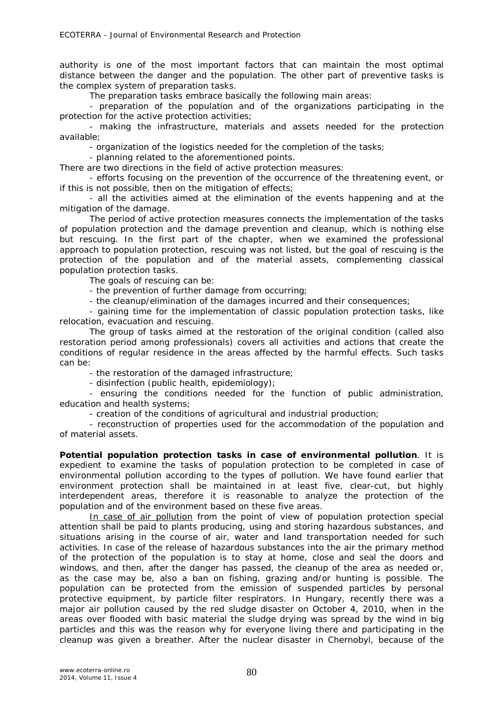authority is one of the most important factors that can maintain the most optimal distance between the danger and the population. The other part of preventive tasks is the complex system of preparation tasks.

The preparation tasks embrace basically the following main areas:

- preparation of the population and of the organizations participating in the protection for the active protection activities;

- making the infrastructure, materials and assets needed for the protection available;

- organization of the logistics needed for the completion of the tasks;

- planning related to the aforementioned points.

There are two directions in the field of active protection measures:

- efforts focusing on the prevention of the occurrence of the threatening event, or if this is not possible, then on the mitigation of effects;

- all the activities aimed at the elimination of the events happening and at the mitigation of the damage.

The period of active protection measures connects the implementation of the tasks of population protection and the damage prevention and cleanup, which is nothing else but rescuing. In the first part of the chapter, when we examined the professional approach to population protection, rescuing was not listed, but the goal of rescuing is the protection of the population and of the material assets, complementing classical population protection tasks.

The goals of rescuing can be:

- the prevention of further damage from occurring;

- the cleanup/elimination of the damages incurred and their consequences;

- gaining time for the implementation of classic population protection tasks, like relocation, evacuation and rescuing.

The group of tasks aimed at the restoration of the original condition (called also restoration period among professionals) covers all activities and actions that create the conditions of regular residence in the areas affected by the harmful effects. Such tasks can be:

- the restoration of the damaged infrastructure;

- disinfection (public health, epidemiology);

- ensuring the conditions needed for the function of public administration, education and health systems;

- creation of the conditions of agricultural and industrial production;

- reconstruction of properties used for the accommodation of the population and of material assets.

**Potential population protection tasks in case of environmental pollution**. It is expedient to examine the tasks of population protection to be completed in case of environmental pollution according to the types of pollution. We have found earlier that environment protection shall be maintained in at least five, clear-cut, but highly interdependent areas, therefore it is reasonable to analyze the protection of the population and of the environment based on these five areas.

*In case of air pollution* from the point of view of population protection special attention shall be paid to plants producing, using and storing hazardous substances, and situations arising in the course of air, water and land transportation needed for such activities. In case of the release of hazardous substances into the air the primary method of the protection of the population is to stay at home, close and seal the doors and windows, and then, after the danger has passed, the cleanup of the area as needed or, as the case may be, also a ban on fishing, grazing and/or hunting is possible. The population can be protected from the emission of suspended particles by personal protective equipment, by particle filter respirators. In Hungary, recently there was a major air pollution caused by the red sludge disaster on October 4, 2010, when in the areas over flooded with basic material the sludge drying was spread by the wind in big particles and this was the reason why for everyone living there and participating in the cleanup was given a breather. After the nuclear disaster in Chernobyl, because of the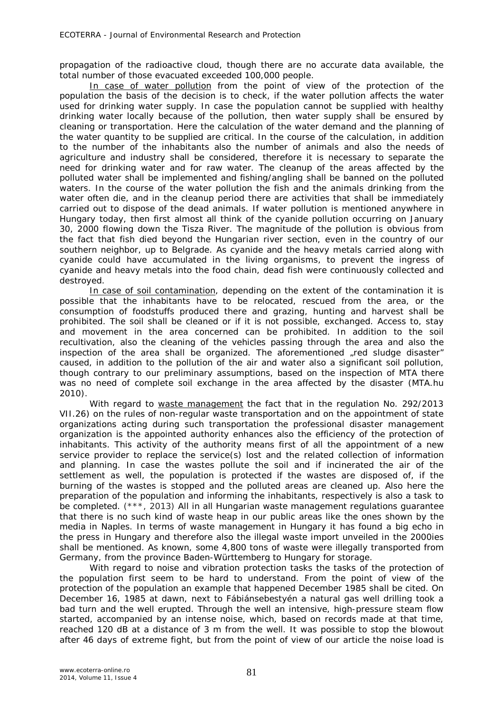propagation of the radioactive cloud, though there are no accurate data available, the total number of those evacuated exceeded 100,000 people.

*In case of water pollution* from the point of view of the protection of the population the basis of the decision is to check, if the water pollution affects the water used for drinking water supply. In case the population cannot be supplied with healthy drinking water locally because of the pollution, then water supply shall be ensured by cleaning or transportation. Here the calculation of the water demand and the planning of the water quantity to be supplied are critical. In the course of the calculation, in addition to the number of the inhabitants also the number of animals and also the needs of agriculture and industry shall be considered, therefore it is necessary to separate the need for drinking water and for raw water. The cleanup of the areas affected by the polluted water shall be implemented and fishing/angling shall be banned on the polluted waters. In the course of the water pollution the fish and the animals drinking from the water often die, and in the cleanup period there are activities that shall be immediately carried out to dispose of the dead animals. If water pollution is mentioned anywhere in Hungary today, then first almost all think of the cyanide pollution occurring on January 30, 2000 flowing down the Tisza River. The magnitude of the pollution is obvious from the fact that fish died beyond the Hungarian river section, even in the country of our southern neighbor, up to Belgrade. As cyanide and the heavy metals carried along with cyanide could have accumulated in the living organisms, to prevent the ingress of cyanide and heavy metals into the food chain, dead fish were continuously collected and destroyed.

*In case of soil contamination*, depending on the extent of the contamination it is possible that the inhabitants have to be relocated, rescued from the area, or the consumption of foodstuffs produced there and grazing, hunting and harvest shall be prohibited. The soil shall be cleaned or if it is not possible, exchanged. Access to, stay and movement in the area concerned can be prohibited. In addition to the soil recultivation, also the cleaning of the vehicles passing through the area and also the inspection of the area shall be organized. The aforementioned "red sludge disaster" caused, in addition to the pollution of the air and water also a significant soil pollution, though contrary to our preliminary assumptions, based on the inspection of MTA there was no need of complete soil exchange in the area affected by the disaster (MTA.hu 2010).

With regard to waste management the fact that in the regulation No. 292/2013 VII.26) on the rules of non-regular waste transportation and on the appointment of state organizations acting during such transportation the professional disaster management organization is the appointed authority enhances also the efficiency of the protection of inhabitants. This activity of the authority means first of all the appointment of a new service provider to replace the service(s) lost and the related collection of information and planning. In case the wastes pollute the soil and if incinerated the air of the settlement as well, the population is protected if the wastes are disposed of, if the burning of the wastes is stopped and the polluted areas are cleaned up. Also here the preparation of the population and informing the inhabitants, respectively is also a task to be completed. (\*\*\*, 2013) All in all Hungarian waste management regulations guarantee that there is no such kind of waste heap in our public areas like the ones shown by the media in Naples. In terms of waste management in Hungary it has found a big echo in the press in Hungary and therefore also the illegal waste import unveiled in the 2000ies shall be mentioned. As known, some 4,800 tons of waste were illegally transported from Germany, from the province Baden-Württemberg to Hungary for storage.

With regard to noise and vibration protection tasks the tasks of the protection of the population first seem to be hard to understand. From the point of view of the protection of the population an example that happened December 1985 shall be cited. On December 16, 1985 at dawn, next to Fábiánsebestyén a natural gas well drilling took a bad turn and the well erupted. Through the well an intensive, high-pressure steam flow started, accompanied by an intense noise, which, based on records made at that time, reached 120 dB at a distance of 3 m from the well. It was possible to stop the blowout after 46 days of extreme fight, but from the point of view of our article the noise load is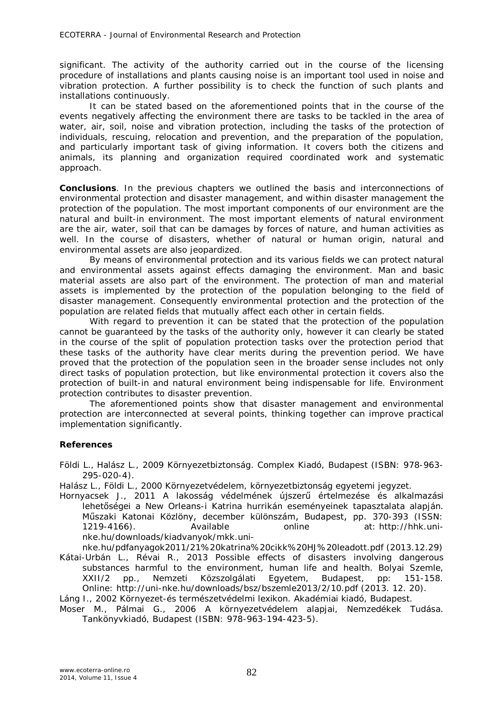significant. The activity of the authority carried out in the course of the licensing procedure of installations and plants causing noise is an important tool used in noise and vibration protection. A further possibility is to check the function of such plants and installations continuously.

It can be stated based on the aforementioned points that in the course of the events negatively affecting the environment there are tasks to be tackled in the area of water, air, soil, noise and vibration protection, including the tasks of the protection of individuals, rescuing, relocation and prevention, and the preparation of the population, and particularly important task of giving information. It covers both the citizens and animals, its planning and organization required coordinated work and systematic approach.

**Conclusions**. In the previous chapters we outlined the basis and interconnections of environmental protection and disaster management, and within disaster management the protection of the population. The most important components of our environment are the natural and built-in environment. The most important elements of natural environment are the air, water, soil that can be damages by forces of nature, and human activities as well. In the course of disasters, whether of natural or human origin, natural and environmental assets are also jeopardized.

By means of environmental protection and its various fields we can protect natural and environmental assets against effects damaging the environment. Man and basic material assets are also part of the environment. The protection of man and material assets is implemented by the protection of the population belonging to the field of disaster management. Consequently environmental protection and the protection of the population are related fields that mutually affect each other in certain fields.

With regard to prevention it can be stated that the protection of the population cannot be guaranteed by the tasks of the authority only, however it can clearly be stated in the course of the split of population protection tasks over the protection period that these tasks of the authority have clear merits during the prevention period. We have proved that the protection of the population seen in the broader sense includes not only direct tasks of population protection, but like environmental protection it covers also the protection of built-in and natural environment being indispensable for life. Environment protection contributes to disaster prevention.

The aforementioned points show that disaster management and environmental protection are interconnected at several points, thinking together can improve practical implementation significantly.

## **References**

Földi L., Halász L., 2009 Környezetbiztonság. Complex Kiadó, Budapest (ISBN: 978-963- 295-020-4).

Halász L., Földi L., 2000 Környezetvédelem, környezetbiztonság egyetemi jegyzet.

Hornyacsek J., 2011 A lakosság védelmének újszerű értelmezése és alkalmazási lehetőségei a New Orleans-i Katrina hurrikán eseményeinek tapasztalata alapján. Műszaki Katonai Közlöny, december különszám, Budapest, pp. 370-393 (ISSN: 1219-4166). Available online at: http://hhk.uninke.hu/downloads/kiadvanyok/mkk.uni-

nke.hu/pdfanyagok2011/21%20katrina%20cikk%20HJ%20leadott.pdf (2013.12.29) Kátai-Urbán L., Révai R., 2013 Possible effects of disasters involving dangerous substances harmful to the environment, human life and health. Bolyai Szemle, XXII/2 pp., Nemzeti Közszolgálati Egyetem, Budapest, pp: 151-158. Online: http://uni-nke.hu/downloads/bsz/bszemle2013/2/10.pdf (2013. 12. 20).

Láng I., 2002 Környezet-és természetvédelmi lexikon. Akadémiai kiadó, Budapest.

Moser M., Pálmai G., 2006 A környezetvédelem alapjai, Nemzedékek Tudása. Tankönyvkiadó, Budapest (ISBN: 978-963-194-423-5).